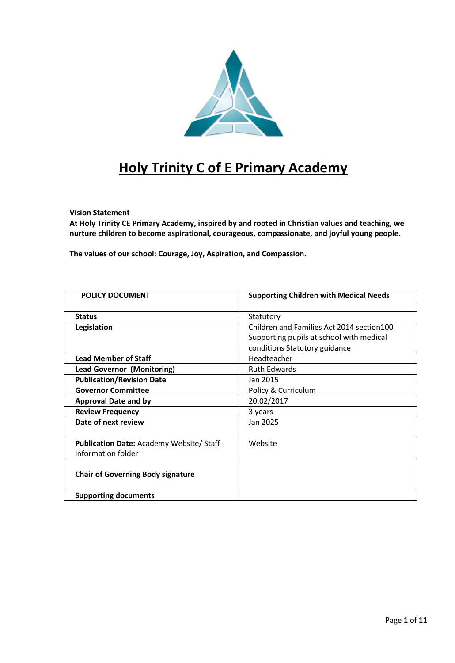

# **Holy Trinity C of E Primary Academy**

#### **Vision Statement**

**At Holy Trinity CE Primary Academy, inspired by and rooted in Christian values and teaching, we nurture children to become aspirational, courageous, compassionate, and joyful young people.**

**The values of our school: Courage, Joy, Aspiration, and Compassion.**

| <b>POLICY DOCUMENT</b>                         | <b>Supporting Children with Medical Needs</b> |
|------------------------------------------------|-----------------------------------------------|
|                                                |                                               |
| <b>Status</b>                                  | Statutory                                     |
| Legislation                                    | Children and Families Act 2014 section 100    |
|                                                | Supporting pupils at school with medical      |
|                                                | conditions Statutory guidance                 |
| <b>Lead Member of Staff</b>                    | Headteacher                                   |
| <b>Lead Governor (Monitoring)</b>              | <b>Ruth Edwards</b>                           |
| <b>Publication/Revision Date</b>               | Jan 2015                                      |
| <b>Governor Committee</b>                      | Policy & Curriculum                           |
| <b>Approval Date and by</b>                    | 20.02/2017                                    |
| <b>Review Frequency</b>                        | 3 years                                       |
| Date of next review                            | Jan 2025                                      |
|                                                |                                               |
| <b>Publication Date: Academy Website/Staff</b> | Website                                       |
| information folder                             |                                               |
|                                                |                                               |
| <b>Chair of Governing Body signature</b>       |                                               |
|                                                |                                               |
| <b>Supporting documents</b>                    |                                               |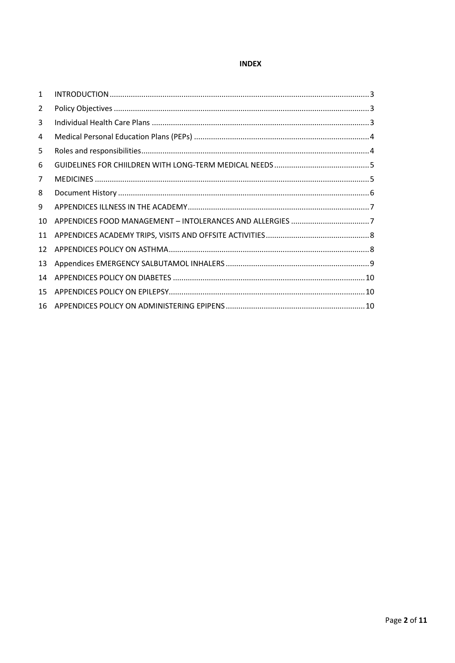# **INDEX**

| $\mathbf{1}$ |  |
|--------------|--|
| 2            |  |
| 3            |  |
| 4            |  |
| 5            |  |
| 6            |  |
| 7            |  |
| 8            |  |
| 9            |  |
| 10           |  |
| 11           |  |
| 12           |  |
| 13           |  |
| 14           |  |
| 15           |  |
| 16           |  |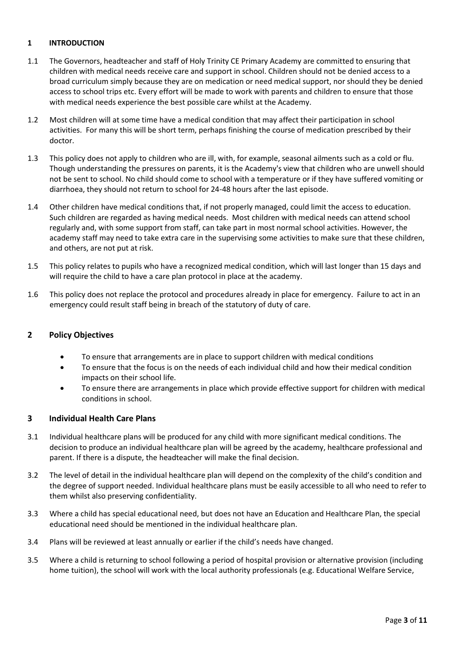# <span id="page-2-0"></span>**1 INTRODUCTION**

- 1.1 The Governors, headteacher and staff of Holy Trinity CE Primary Academy are committed to ensuring that children with medical needs receive care and support in school. Children should not be denied access to a broad curriculum simply because they are on medication or need medical support, nor should they be denied access to school trips etc. Every effort will be made to work with parents and children to ensure that those with medical needs experience the best possible care whilst at the Academy.
- 1.2 Most children will at some time have a medical condition that may affect their participation in school activities. For many this will be short term, perhaps finishing the course of medication prescribed by their doctor.
- 1.3 This policy does not apply to children who are ill, with, for example, seasonal ailments such as a cold or flu. Though understanding the pressures on parents, it is the Academy's view that children who are unwell should not be sent to school. No child should come to school with a temperature or if they have suffered vomiting or diarrhoea, they should not return to school for 24-48 hours after the last episode.
- 1.4 Other children have medical conditions that, if not properly managed, could limit the access to education. Such children are regarded as having medical needs. Most children with medical needs can attend school regularly and, with some support from staff, can take part in most normal school activities. However, the academy staff may need to take extra care in the supervising some activities to make sure that these children, and others, are not put at risk.
- 1.5 This policy relates to pupils who have a recognized medical condition, which will last longer than 15 days and will require the child to have a care plan protocol in place at the academy.
- 1.6 This policy does not replace the protocol and procedures already in place for emergency. Failure to act in an emergency could result staff being in breach of the statutory of duty of care.

# <span id="page-2-1"></span>**2 Policy Objectives**

- To ensure that arrangements are in place to support children with medical conditions
- To ensure that the focus is on the needs of each individual child and how their medical condition impacts on their school life.
- To ensure there are arrangements in place which provide effective support for children with medical conditions in school.

# <span id="page-2-2"></span>**3 Individual Health Care Plans**

- 3.1 Individual healthcare plans will be produced for any child with more significant medical conditions. The decision to produce an individual healthcare plan will be agreed by the academy, healthcare professional and parent. If there is a dispute, the headteacher will make the final decision.
- 3.2 The level of detail in the individual healthcare plan will depend on the complexity of the child's condition and the degree of support needed. Individual healthcare plans must be easily accessible to all who need to refer to them whilst also preserving confidentiality.
- 3.3 Where a child has special educational need, but does not have an Education and Healthcare Plan, the special educational need should be mentioned in the individual healthcare plan.
- 3.4 Plans will be reviewed at least annually or earlier if the child's needs have changed.
- 3.5 Where a child is returning to school following a period of hospital provision or alternative provision (including home tuition), the school will work with the local authority professionals (e.g. Educational Welfare Service,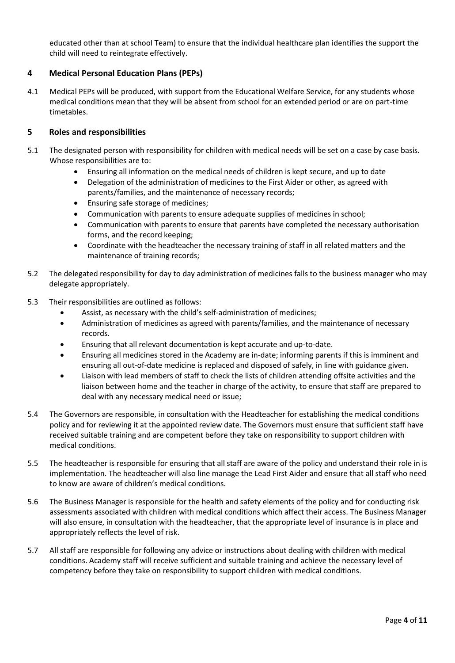educated other than at school Team) to ensure that the individual healthcare plan identifies the support the child will need to reintegrate effectively.

# <span id="page-3-0"></span>**4 Medical Personal Education Plans (PEPs)**

4.1 Medical PEPs will be produced, with support from the Educational Welfare Service, for any students whose medical conditions mean that they will be absent from school for an extended period or are on part-time timetables.

# <span id="page-3-1"></span>**5 Roles and responsibilities**

- 5.1 The designated person with responsibility for children with medical needs will be set on a case by case basis. Whose responsibilities are to:
	- Ensuring all information on the medical needs of children is kept secure, and up to date
	- Delegation of the administration of medicines to the First Aider or other, as agreed with parents/families, and the maintenance of necessary records;
	- Ensuring safe storage of medicines;
	- Communication with parents to ensure adequate supplies of medicines in school;
	- Communication with parents to ensure that parents have completed the necessary authorisation forms, and the record keeping;
	- Coordinate with the headteacher the necessary training of staff in all related matters and the maintenance of training records;
- 5.2 The delegated responsibility for day to day administration of medicines falls to the business manager who may delegate appropriately.
- 5.3 Their responsibilities are outlined as follows:
	- Assist, as necessary with the child's self-administration of medicines;
	- Administration of medicines as agreed with parents/families, and the maintenance of necessary records.
	- Ensuring that all relevant documentation is kept accurate and up-to-date.
	- Ensuring all medicines stored in the Academy are in-date; informing parents if this is imminent and ensuring all out-of-date medicine is replaced and disposed of safely, in line with guidance given.
	- Liaison with lead members of staff to check the lists of children attending offsite activities and the liaison between home and the teacher in charge of the activity, to ensure that staff are prepared to deal with any necessary medical need or issue;
- 5.4 The Governors are responsible, in consultation with the Headteacher for establishing the medical conditions policy and for reviewing it at the appointed review date. The Governors must ensure that sufficient staff have received suitable training and are competent before they take on responsibility to support children with medical conditions.
- 5.5 The headteacher is responsible for ensuring that all staff are aware of the policy and understand their role in is implementation. The headteacher will also line manage the Lead First Aider and ensure that all staff who need to know are aware of children's medical conditions.
- 5.6 The Business Manager is responsible for the health and safety elements of the policy and for conducting risk assessments associated with children with medical conditions which affect their access. The Business Manager will also ensure, in consultation with the headteacher, that the appropriate level of insurance is in place and appropriately reflects the level of risk.
- 5.7 All staff are responsible for following any advice or instructions about dealing with children with medical conditions. Academy staff will receive sufficient and suitable training and achieve the necessary level of competency before they take on responsibility to support children with medical conditions.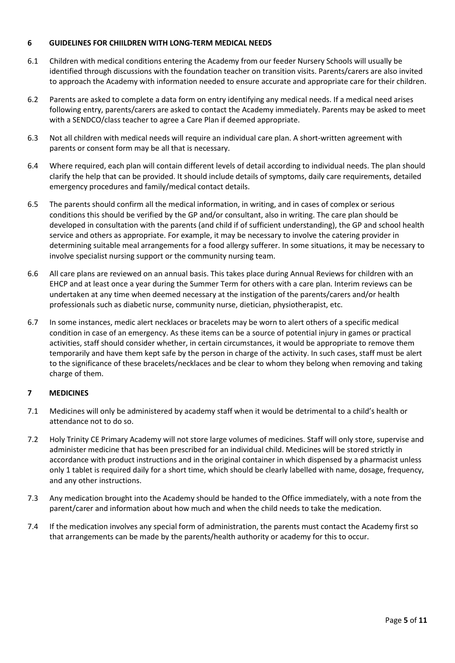## <span id="page-4-0"></span>**6 GUIDELINES FOR CHIILDREN WITH LONG-TERM MEDICAL NEEDS**

- 6.1 Children with medical conditions entering the Academy from our feeder Nursery Schools will usually be identified through discussions with the foundation teacher on transition visits. Parents/carers are also invited to approach the Academy with information needed to ensure accurate and appropriate care for their children.
- 6.2 Parents are asked to complete a data form on entry identifying any medical needs. If a medical need arises following entry, parents/carers are asked to contact the Academy immediately. Parents may be asked to meet with a SENDCO/class teacher to agree a Care Plan if deemed appropriate.
- 6.3 Not all children with medical needs will require an individual care plan. A short-written agreement with parents or consent form may be all that is necessary.
- 6.4 Where required, each plan will contain different levels of detail according to individual needs. The plan should clarify the help that can be provided. It should include details of symptoms, daily care requirements, detailed emergency procedures and family/medical contact details.
- 6.5 The parents should confirm all the medical information, in writing, and in cases of complex or serious conditions this should be verified by the GP and/or consultant, also in writing. The care plan should be developed in consultation with the parents (and child if of sufficient understanding), the GP and school health service and others as appropriate. For example, it may be necessary to involve the catering provider in determining suitable meal arrangements for a food allergy sufferer. In some situations, it may be necessary to involve specialist nursing support or the community nursing team.
- 6.6 All care plans are reviewed on an annual basis. This takes place during Annual Reviews for children with an EHCP and at least once a year during the Summer Term for others with a care plan. Interim reviews can be undertaken at any time when deemed necessary at the instigation of the parents/carers and/or health professionals such as diabetic nurse, community nurse, dietician, physiotherapist, etc.
- 6.7 In some instances, medic alert necklaces or bracelets may be worn to alert others of a specific medical condition in case of an emergency. As these items can be a source of potential injury in games or practical activities, staff should consider whether, in certain circumstances, it would be appropriate to remove them temporarily and have them kept safe by the person in charge of the activity. In such cases, staff must be alert to the significance of these bracelets/necklaces and be clear to whom they belong when removing and taking charge of them.

# <span id="page-4-1"></span>**7 MEDICINES**

- 7.1 Medicines will only be administered by academy staff when it would be detrimental to a child's health or attendance not to do so.
- 7.2 Holy Trinity CE Primary Academy will not store large volumes of medicines. Staff will only store, supervise and administer medicine that has been prescribed for an individual child. Medicines will be stored strictly in accordance with product instructions and in the original container in which dispensed by a pharmacist unless only 1 tablet is required daily for a short time, which should be clearly labelled with name, dosage, frequency, and any other instructions.
- 7.3 Any medication brought into the Academy should be handed to the Office immediately, with a note from the parent/carer and information about how much and when the child needs to take the medication.
- 7.4 If the medication involves any special form of administration, the parents must contact the Academy first so that arrangements can be made by the parents/health authority or academy for this to occur.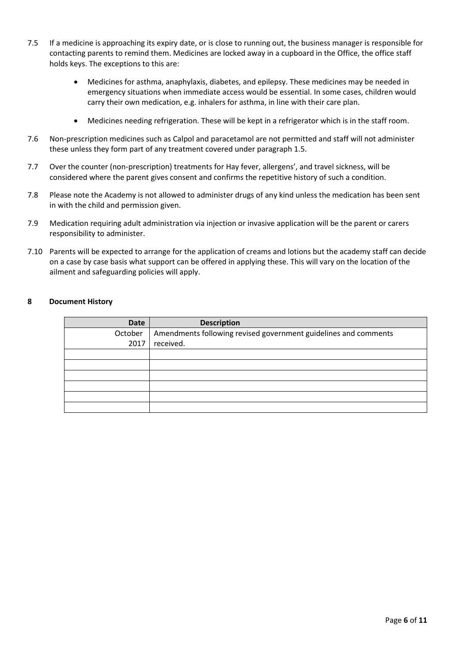- 7.5 If a medicine is approaching its expiry date, or is close to running out, the business manager is responsible for contacting parents to remind them. Medicines are locked away in a cupboard in the Office, the office staff holds keys. The exceptions to this are:
	- Medicines for asthma, anaphylaxis, diabetes, and epilepsy. These medicines may be needed in emergency situations when immediate access would be essential. In some cases, children would carry their own medication, e.g. inhalers for asthma, in line with their care plan.
	- Medicines needing refrigeration. These will be kept in a refrigerator which is in the staff room.
- 7.6 Non-prescription medicines such as Calpol and paracetamol are not permitted and staff will not administer these unless they form part of any treatment covered under paragraph 1.5.
- 7.7 Over the counter (non-prescription) treatments for Hay fever, allergens', and travel sickness, will be considered where the parent gives consent and confirms the repetitive history of such a condition.
- 7.8 Please note the Academy is not allowed to administer drugs of any kind unless the medication has been sent in with the child and permission given.
- 7.9 Medication requiring adult administration via injection or invasive application will be the parent or carers responsibility to administer.
- 7.10 Parents will be expected to arrange for the application of creams and lotions but the academy staff can decide on a case by case basis what support can be offered in applying these. This will vary on the location of the ailment and safeguarding policies will apply.

#### <span id="page-5-0"></span>**8 Document History**

| Date    | <b>Description</b>                                              |
|---------|-----------------------------------------------------------------|
| October | Amendments following revised government guidelines and comments |
| 2017    | received.                                                       |
|         |                                                                 |
|         |                                                                 |
|         |                                                                 |
|         |                                                                 |
|         |                                                                 |
|         |                                                                 |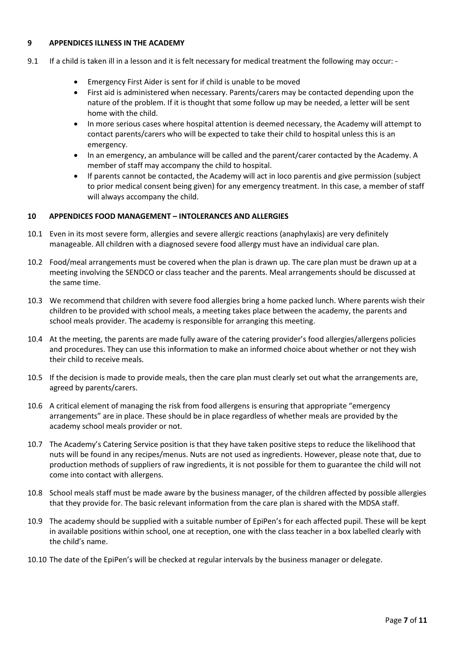## <span id="page-6-0"></span>**9 APPENDICES ILLNESS IN THE ACADEMY**

- 9.1 If a child is taken ill in a lesson and it is felt necessary for medical treatment the following may occur: -
	- Emergency First Aider is sent for if child is unable to be moved
	- First aid is administered when necessary. Parents/carers may be contacted depending upon the nature of the problem. If it is thought that some follow up may be needed, a letter will be sent home with the child.
	- In more serious cases where hospital attention is deemed necessary, the Academy will attempt to contact parents/carers who will be expected to take their child to hospital unless this is an emergency.
	- In an emergency, an ambulance will be called and the parent/carer contacted by the Academy. A member of staff may accompany the child to hospital.
	- If parents cannot be contacted, the Academy will act in loco parentis and give permission (subject to prior medical consent being given) for any emergency treatment. In this case, a member of staff will always accompany the child.

# <span id="page-6-1"></span>**10 APPENDICES FOOD MANAGEMENT – INTOLERANCES AND ALLERGIES**

- 10.1 Even in its most severe form, allergies and severe allergic reactions (anaphylaxis) are very definitely manageable. All children with a diagnosed severe food allergy must have an individual care plan.
- 10.2 Food/meal arrangements must be covered when the plan is drawn up. The care plan must be drawn up at a meeting involving the SENDCO or class teacher and the parents. Meal arrangements should be discussed at the same time.
- 10.3 We recommend that children with severe food allergies bring a home packed lunch. Where parents wish their children to be provided with school meals, a meeting takes place between the academy, the parents and school meals provider. The academy is responsible for arranging this meeting.
- 10.4 At the meeting, the parents are made fully aware of the catering provider's food allergies/allergens policies and procedures. They can use this information to make an informed choice about whether or not they wish their child to receive meals.
- 10.5 If the decision is made to provide meals, then the care plan must clearly set out what the arrangements are, agreed by parents/carers.
- 10.6 A critical element of managing the risk from food allergens is ensuring that appropriate "emergency arrangements" are in place. These should be in place regardless of whether meals are provided by the academy school meals provider or not.
- 10.7 The Academy's Catering Service position is that they have taken positive steps to reduce the likelihood that nuts will be found in any recipes/menus. Nuts are not used as ingredients. However, please note that, due to production methods of suppliers of raw ingredients, it is not possible for them to guarantee the child will not come into contact with allergens.
- 10.8 School meals staff must be made aware by the business manager, of the children affected by possible allergies that they provide for. The basic relevant information from the care plan is shared with the MDSA staff.
- 10.9 The academy should be supplied with a suitable number of EpiPen's for each affected pupil. These will be kept in available positions within school, one at reception, one with the class teacher in a box labelled clearly with the child's name.
- 10.10 The date of the EpiPen's will be checked at regular intervals by the business manager or delegate.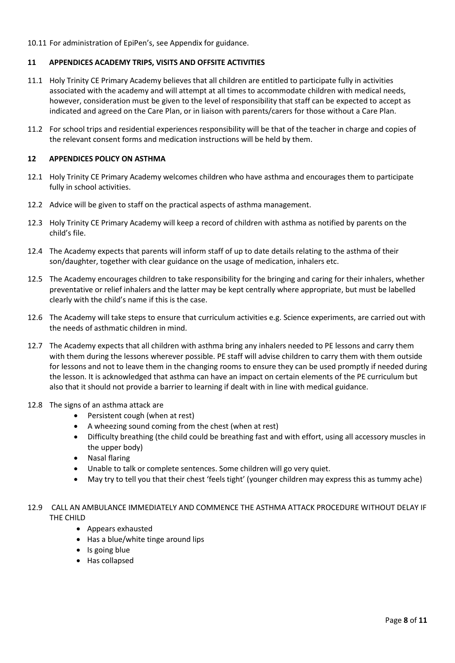# <span id="page-7-0"></span>10.11 For administration of EpiPen's, see Appendix for guidance.

# **11 APPENDICES ACADEMY TRIPS, VISITS AND OFFSITE ACTIVITIES**

- 11.1 Holy Trinity CE Primary Academy believes that all children are entitled to participate fully in activities associated with the academy and will attempt at all times to accommodate children with medical needs, however, consideration must be given to the level of responsibility that staff can be expected to accept as indicated and agreed on the Care Plan, or in liaison with parents/carers for those without a Care Plan.
- 11.2 For school trips and residential experiences responsibility will be that of the teacher in charge and copies of the relevant consent forms and medication instructions will be held by them.

## <span id="page-7-1"></span>**12 APPENDICES POLICY ON ASTHMA**

- 12.1 Holy Trinity CE Primary Academy welcomes children who have asthma and encourages them to participate fully in school activities.
- 12.2 Advice will be given to staff on the practical aspects of asthma management.
- 12.3 Holy Trinity CE Primary Academy will keep a record of children with asthma as notified by parents on the child's file.
- 12.4 The Academy expects that parents will inform staff of up to date details relating to the asthma of their son/daughter, together with clear guidance on the usage of medication, inhalers etc.
- 12.5 The Academy encourages children to take responsibility for the bringing and caring for their inhalers, whether preventative or relief inhalers and the latter may be kept centrally where appropriate, but must be labelled clearly with the child's name if this is the case.
- 12.6 The Academy will take steps to ensure that curriculum activities e.g. Science experiments, are carried out with the needs of asthmatic children in mind.
- 12.7 The Academy expects that all children with asthma bring any inhalers needed to PE lessons and carry them with them during the lessons wherever possible. PE staff will advise children to carry them with them outside for lessons and not to leave them in the changing rooms to ensure they can be used promptly if needed during the lesson. It is acknowledged that asthma can have an impact on certain elements of the PE curriculum but also that it should not provide a barrier to learning if dealt with in line with medical guidance.
- 12.8 The signs of an asthma attack are
	- Persistent cough (when at rest)
	- A wheezing sound coming from the chest (when at rest)
	- Difficulty breathing (the child could be breathing fast and with effort, using all accessory muscles in the upper body)
	- Nasal flaring
	- Unable to talk or complete sentences. Some children will go very quiet.
	- May try to tell you that their chest 'feels tight' (younger children may express this as tummy ache)

# 12.9 CALL AN AMBULANCE IMMEDIATELY AND COMMENCE THE ASTHMA ATTACK PROCEDURE WITHOUT DELAY IF THE CHILD

- Appears exhausted
- Has a blue/white tinge around lips
- Is going blue
- Has collapsed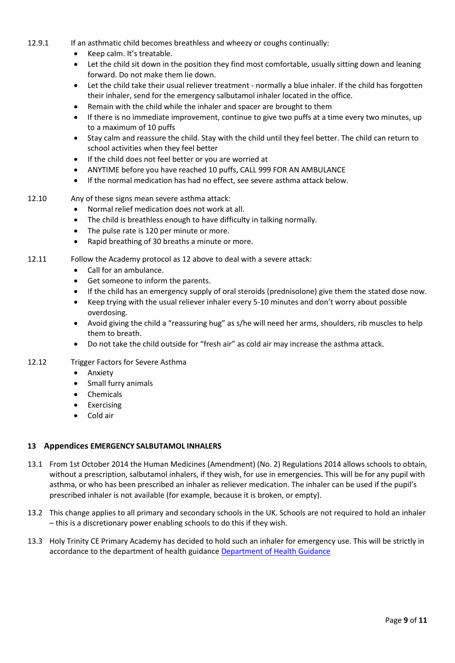- 12.9.1 If an asthmatic child becomes breathless and wheezy or coughs continually:
	- Keep calm. It's treatable.
	- Let the child sit down in the position they find most comfortable, usually sitting down and leaning forward. Do not make them lie down.
	- Let the child take their usual reliever treatment normally a blue inhaler. If the child has forgotten their inhaler, send for the emergency salbutamol inhaler located in the office.
	- Remain with the child while the inhaler and spacer are brought to them
	- If there is no immediate improvement, continue to give two puffs at a time every two minutes, up to a maximum of 10 puffs
	- Stay calm and reassure the child. Stay with the child until they feel better. The child can return to school activities when they feel better
	- If the child does not feel better or you are worried at
	- ANYTIME before you have reached 10 puffs, CALL 999 FOR AN AMBULANCE
	- If the normal medication has had no effect, see severe asthma attack below.
- 12.10 Any of these signs mean severe asthma attack:
	- Normal relief medication does not work at all.
	- The child is breathless enough to have difficulty in talking normally.
	- The pulse rate is 120 per minute or more.
	- Rapid breathing of 30 breaths a minute or more.
- 12.11 Follow the Academy protocol as 12 above to deal with a severe attack:
	- Call for an ambulance.
	- Get someone to inform the parents.
	- If the child has an emergency supply of oral steroids (prednisolone) give them the stated dose now.
	- Keep trying with the usual reliever inhaler every 5-10 minutes and don't worry about possible overdosing.
	- Avoid giving the child a "reassuring hug" as s/he will need her arms, shoulders, rib muscles to help them to breath.
	- Do not take the child outside for "fresh air" as cold air may increase the asthma attack.
- 12.12 Trigger Factors for Severe Asthma
	- Anxiety
	- Small furry animals
	- Chemicals
	- Exercising
	- Cold air

# <span id="page-8-0"></span>**13 Appendices EMERGENCY SALBUTAMOL INHALERS**

- 13.1 From 1st October 2014 the Human Medicines (Amendment) (No. 2) Regulations 2014 allows schools to obtain, without a prescription, salbutamol inhalers, if they wish, for use in emergencies. This will be for any pupil with asthma, or who has been prescribed an inhaler as reliever medication. The inhaler can be used if the pupil's prescribed inhaler is not available (for example, because it is broken, or empty).
- 13.2 This change applies to all primary and secondary schools in the UK. Schools are not required to hold an inhaler – this is a discretionary power enabling schools to do this if they wish.
- 13.3 Holy Trinity CE Primary Academy has decided to hold such an inhaler for emergency use. This will be strictly in accordance to the department of health guidanc[e Department of Health Guidance](https://www.gov.uk/government/uploads/system/uploads/attachment_data/file/360585/guidance_on_use_of_emergency_inhalers_in_schools_October_2014.pdf)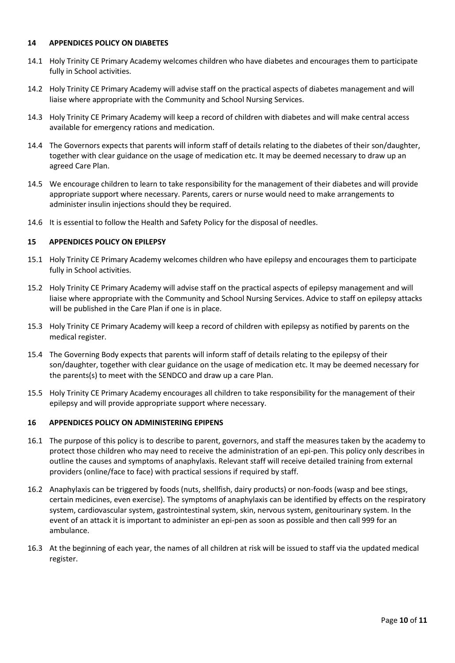#### <span id="page-9-0"></span>**14 APPENDICES POLICY ON DIABETES**

- 14.1 Holy Trinity CE Primary Academy welcomes children who have diabetes and encourages them to participate fully in School activities.
- 14.2 Holy Trinity CE Primary Academy will advise staff on the practical aspects of diabetes management and will liaise where appropriate with the Community and School Nursing Services.
- 14.3 Holy Trinity CE Primary Academy will keep a record of children with diabetes and will make central access available for emergency rations and medication.
- 14.4 The Governors expects that parents will inform staff of details relating to the diabetes of their son/daughter, together with clear guidance on the usage of medication etc. It may be deemed necessary to draw up an agreed Care Plan.
- 14.5 We encourage children to learn to take responsibility for the management of their diabetes and will provide appropriate support where necessary. Parents, carers or nurse would need to make arrangements to administer insulin injections should they be required.
- 14.6 It is essential to follow the Health and Safety Policy for the disposal of needles.

# <span id="page-9-1"></span>**15 APPENDICES POLICY ON EPILEPSY**

- 15.1 Holy Trinity CE Primary Academy welcomes children who have epilepsy and encourages them to participate fully in School activities.
- 15.2 Holy Trinity CE Primary Academy will advise staff on the practical aspects of epilepsy management and will liaise where appropriate with the Community and School Nursing Services. Advice to staff on epilepsy attacks will be published in the Care Plan if one is in place.
- 15.3 Holy Trinity CE Primary Academy will keep a record of children with epilepsy as notified by parents on the medical register.
- 15.4 The Governing Body expects that parents will inform staff of details relating to the epilepsy of their son/daughter, together with clear guidance on the usage of medication etc. It may be deemed necessary for the parents(s) to meet with the SENDCO and draw up a care Plan.
- 15.5 Holy Trinity CE Primary Academy encourages all children to take responsibility for the management of their epilepsy and will provide appropriate support where necessary.

#### <span id="page-9-2"></span>**16 APPENDICES POLICY ON ADMINISTERING EPIPENS**

- 16.1 The purpose of this policy is to describe to parent, governors, and staff the measures taken by the academy to protect those children who may need to receive the administration of an epi-pen. This policy only describes in outline the causes and symptoms of anaphylaxis. Relevant staff will receive detailed training from external providers (online/face to face) with practical sessions if required by staff.
- 16.2 Anaphylaxis can be triggered by foods (nuts, shellfish, dairy products) or non-foods (wasp and bee stings, certain medicines, even exercise). The symptoms of anaphylaxis can be identified by effects on the respiratory system, cardiovascular system, gastrointestinal system, skin, nervous system, genitourinary system. In the event of an attack it is important to administer an epi-pen as soon as possible and then call 999 for an ambulance.
- 16.3 At the beginning of each year, the names of all children at risk will be issued to staff via the updated medical register.